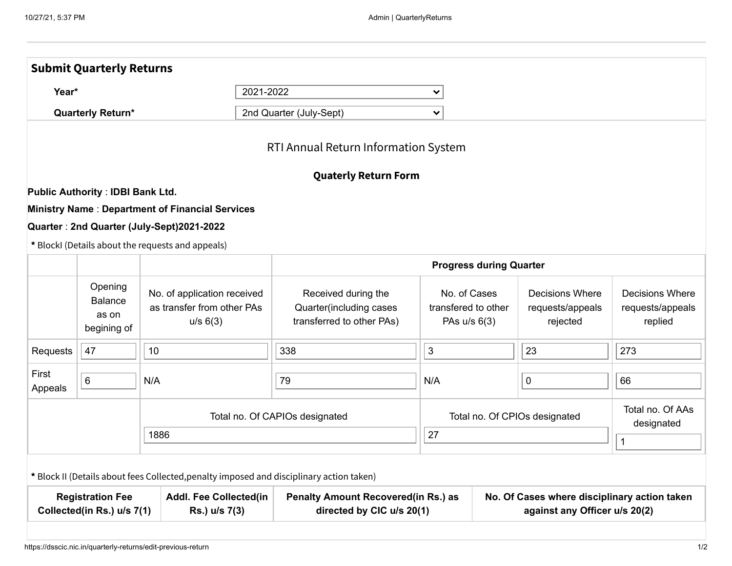|                                                                                                         | <b>Submit Quarterly Returns</b>                   |                                                                                          |                                                                             |                                                                               |  |                                                        |                                                       |  |
|---------------------------------------------------------------------------------------------------------|---------------------------------------------------|------------------------------------------------------------------------------------------|-----------------------------------------------------------------------------|-------------------------------------------------------------------------------|--|--------------------------------------------------------|-------------------------------------------------------|--|
| 2021-2022<br>Year*<br><b>Quarterly Return*</b>                                                          |                                                   |                                                                                          |                                                                             | $\checkmark$                                                                  |  |                                                        |                                                       |  |
|                                                                                                         |                                                   |                                                                                          | 2nd Quarter (July-Sept)                                                     | $\checkmark$                                                                  |  |                                                        |                                                       |  |
|                                                                                                         |                                                   |                                                                                          | RTI Annual Return Information System                                        |                                                                               |  |                                                        |                                                       |  |
|                                                                                                         |                                                   |                                                                                          | <b>Quaterly Return Form</b>                                                 |                                                                               |  |                                                        |                                                       |  |
|                                                                                                         | <b>Public Authority: IDBI Bank Ltd.</b>           |                                                                                          |                                                                             |                                                                               |  |                                                        |                                                       |  |
|                                                                                                         |                                                   | <b>Ministry Name: Department of Financial Services</b>                                   |                                                                             |                                                                               |  |                                                        |                                                       |  |
|                                                                                                         |                                                   | Quarter: 2nd Quarter (July-Sept)2021-2022                                                |                                                                             |                                                                               |  |                                                        |                                                       |  |
|                                                                                                         |                                                   | * BlockI (Details about the requests and appeals)                                        |                                                                             |                                                                               |  |                                                        |                                                       |  |
|                                                                                                         |                                                   | <b>Progress during Quarter</b>                                                           |                                                                             |                                                                               |  |                                                        |                                                       |  |
|                                                                                                         | Opening<br><b>Balance</b><br>as on<br>begining of | No. of application received<br>as transfer from other PAs<br>u/s 6(3)                    | Received during the<br>Quarter(including cases<br>transferred to other PAs) | No. of Cases<br>transfered to other<br>PAs $u/s$ 6(3)                         |  | <b>Decisions Where</b><br>requests/appeals<br>rejected | <b>Decisions Where</b><br>requests/appeals<br>replied |  |
| Requests                                                                                                | 47                                                | 10                                                                                       | 338                                                                         | 3                                                                             |  | 23                                                     | 273                                                   |  |
| First<br>Appeals                                                                                        | $\,6\,$                                           | N/A                                                                                      | 79                                                                          | N/A                                                                           |  | 0                                                      | 66                                                    |  |
|                                                                                                         |                                                   |                                                                                          | Total no. Of CAPIOs designated                                              | Total no. Of CPIOs designated                                                 |  |                                                        | Total no. Of AAs<br>designated                        |  |
| 1886                                                                                                    |                                                   |                                                                                          |                                                                             | 27                                                                            |  |                                                        | $\mathbf 1$                                           |  |
|                                                                                                         |                                                   | * Block II (Details about fees Collected, penalty imposed and disciplinary action taken) |                                                                             |                                                                               |  |                                                        |                                                       |  |
| <b>Registration Fee</b><br><b>Addl. Fee Collected(in</b><br>Collected(in Rs.) u/s 7(1)<br>Rs.) u/s 7(3) |                                                   |                                                                                          | <b>Penalty Amount Recovered(in Rs.) as</b><br>directed by CIC u/s 20(1)     | No. Of Cases where disciplinary action taken<br>against any Officer u/s 20(2) |  |                                                        |                                                       |  |